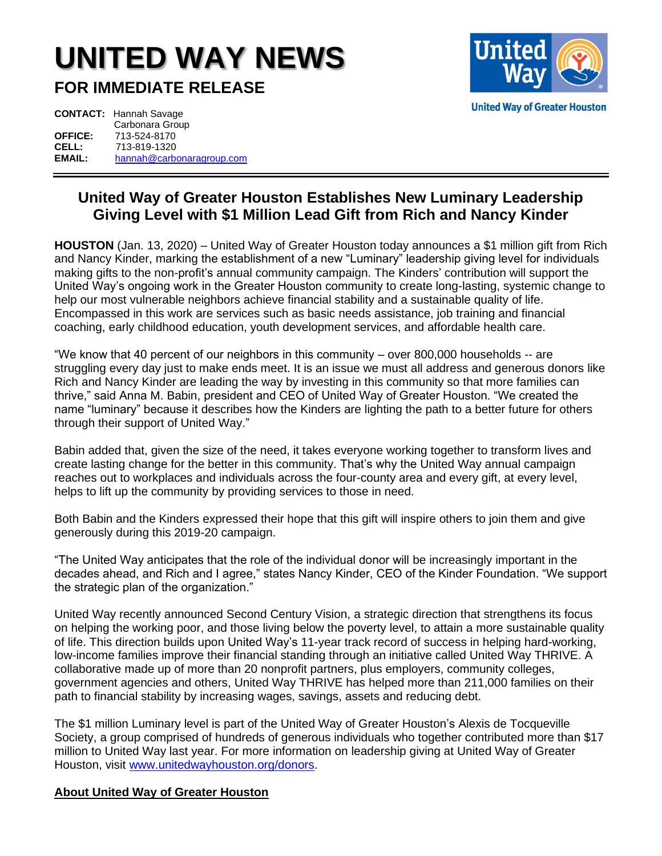## **UNITED WAY NEWS**

**FOR IMMEDIATE RELEASE**



|                | <b>CONTACT:</b> Hannah Savage |
|----------------|-------------------------------|
|                | Carbonara Group               |
| <b>OFFICE:</b> | 713-524-8170                  |
| CELL:          | 713-819-1320                  |
| EMAIL:         | hannah@carbonaragroup.com     |

## **United Way of Greater Houston Establishes New Luminary Leadership Giving Level with \$1 Million Lead Gift from Rich and Nancy Kinder**

**HOUSTON** (Jan. 13, 2020) – United Way of Greater Houston today announces a \$1 million gift from Rich and Nancy Kinder, marking the establishment of a new "Luminary" leadership giving level for individuals making gifts to the non-profit's annual community campaign. The Kinders' contribution will support the United Way's ongoing work in the Greater Houston community to create long-lasting, systemic change to help our most vulnerable neighbors achieve financial stability and a sustainable quality of life. Encompassed in this work are services such as basic needs assistance, job training and financial coaching, early childhood education, youth development services, and affordable health care.

"We know that 40 percent of our neighbors in this community – over 800,000 households -- are struggling every day just to make ends meet. It is an issue we must all address and generous donors like Rich and Nancy Kinder are leading the way by investing in this community so that more families can thrive," said Anna M. Babin, president and CEO of United Way of Greater Houston. "We created the name "luminary" because it describes how the Kinders are lighting the path to a better future for others through their support of United Way."

Babin added that, given the size of the need, it takes everyone working together to transform lives and create lasting change for the better in this community. That's why the United Way annual campaign reaches out to workplaces and individuals across the four-county area and every gift, at every level, helps to lift up the community by providing services to those in need.

Both Babin and the Kinders expressed their hope that this gift will inspire others to join them and give generously during this 2019-20 campaign.

"The United Way anticipates that the role of the individual donor will be increasingly important in the decades ahead, and Rich and I agree," states Nancy Kinder, CEO of the Kinder Foundation. "We support the strategic plan of the organization."

United Way recently announced Second Century Vision, a strategic direction that strengthens its focus on helping the working poor, and those living below the poverty level, to attain a more sustainable quality of life. This direction builds upon United Way's 11-year track record of success in helping hard-working, low-income families improve their financial standing through an initiative called United Way THRIVE. A collaborative made up of more than 20 nonprofit partners, plus employers, community colleges, government agencies and others, United Way THRIVE has helped more than 211,000 families on their path to financial stability by increasing wages, savings, assets and reducing debt.

The \$1 million Luminary level is part of the United Way of Greater Houston's Alexis de Tocqueville Society, a group comprised of hundreds of generous individuals who together contributed more than \$17 million to United Way last year. For more information on leadership giving at United Way of Greater Houston, visit [www.unitedwayhouston.org/donors.](http://www.unitedwayhouston.org/donors)

## **About United Way of Greater Houston**